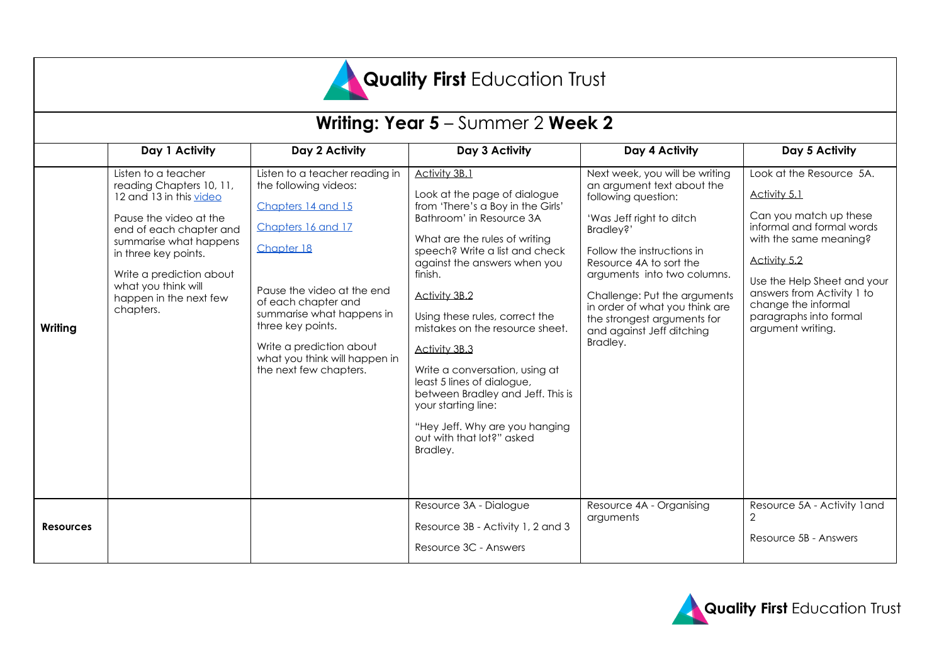

| <b>Writing: Year 5</b> – Summer 2 <b>Week 2</b> |                                                                                                                                                                                                                                                                             |                                                                                                                                                                                                                                                                                                                 |                                                                                                                                                                                                                                                                                                                                                                                                                                                                                                                                                   |                                                                                                                                                                                                                                                                                                                                                                |                                                                                                                                                                                                                                                                              |
|-------------------------------------------------|-----------------------------------------------------------------------------------------------------------------------------------------------------------------------------------------------------------------------------------------------------------------------------|-----------------------------------------------------------------------------------------------------------------------------------------------------------------------------------------------------------------------------------------------------------------------------------------------------------------|---------------------------------------------------------------------------------------------------------------------------------------------------------------------------------------------------------------------------------------------------------------------------------------------------------------------------------------------------------------------------------------------------------------------------------------------------------------------------------------------------------------------------------------------------|----------------------------------------------------------------------------------------------------------------------------------------------------------------------------------------------------------------------------------------------------------------------------------------------------------------------------------------------------------------|------------------------------------------------------------------------------------------------------------------------------------------------------------------------------------------------------------------------------------------------------------------------------|
|                                                 | Day 1 Activity                                                                                                                                                                                                                                                              | Day 2 Activity                                                                                                                                                                                                                                                                                                  | Day 3 Activity                                                                                                                                                                                                                                                                                                                                                                                                                                                                                                                                    | Day 4 Activity                                                                                                                                                                                                                                                                                                                                                 | Day 5 Activity                                                                                                                                                                                                                                                               |
| Writing                                         | Listen to a teacher<br>reading Chapters 10, 11,<br>12 and 13 in this video<br>Pause the video at the<br>end of each chapter and<br>summarise what happens<br>in three key points.<br>Write a prediction about<br>what you think will<br>happen in the next few<br>chapters. | Listen to a teacher reading in<br>the following videos:<br>Chapters 14 and 15<br>Chapters 16 and 17<br>Chapter 18<br>Pause the video at the end<br>of each chapter and<br>summarise what happens in<br>three key points.<br>Write a prediction about<br>what you think will happen in<br>the next few chapters. | Activity 3B.1<br>Look at the page of dialogue<br>from 'There's a Boy in the Girls'<br>Bathroom' in Resource 3A<br>What are the rules of writing<br>speech? Write a list and check<br>against the answers when you<br>finish.<br><b>Activity 3B.2</b><br>Using these rules, correct the<br>mistakes on the resource sheet.<br>Activity 3B.3<br>Write a conversation, using at<br>least 5 lines of dialogue,<br>between Bradley and Jeff. This is<br>your starting line:<br>"Hey Jeff. Why are you hanging<br>out with that lot?" asked<br>Bradley. | Next week, you will be writing<br>an argument text about the<br>following question:<br>'Was Jeff right to ditch<br>Bradley?'<br>Follow the instructions in<br>Resource 4A to sort the<br>arguments into two columns.<br>Challenge: Put the arguments<br>in order of what you think are<br>the strongest arguments for<br>and against Jeff ditching<br>Bradley. | Look at the Resource 5A.<br>Activity 5.1<br>Can you match up these<br>informal and formal words<br>with the same meaning?<br>Activity 5.2<br>Use the Help Sheet and your<br>answers from Activity 1 to<br>change the informal<br>paragraphs into formal<br>argument writing. |
| <b>Resources</b>                                |                                                                                                                                                                                                                                                                             |                                                                                                                                                                                                                                                                                                                 | Resource 3A - Dialogue<br>Resource 3B - Activity 1, 2 and 3<br>Resource 3C - Answers                                                                                                                                                                                                                                                                                                                                                                                                                                                              | Resource 4A - Organising<br>arguments                                                                                                                                                                                                                                                                                                                          | Resource 5A - Activity 1 and<br>$\mathbf{2}$<br>Resource 5B - Answers                                                                                                                                                                                                        |

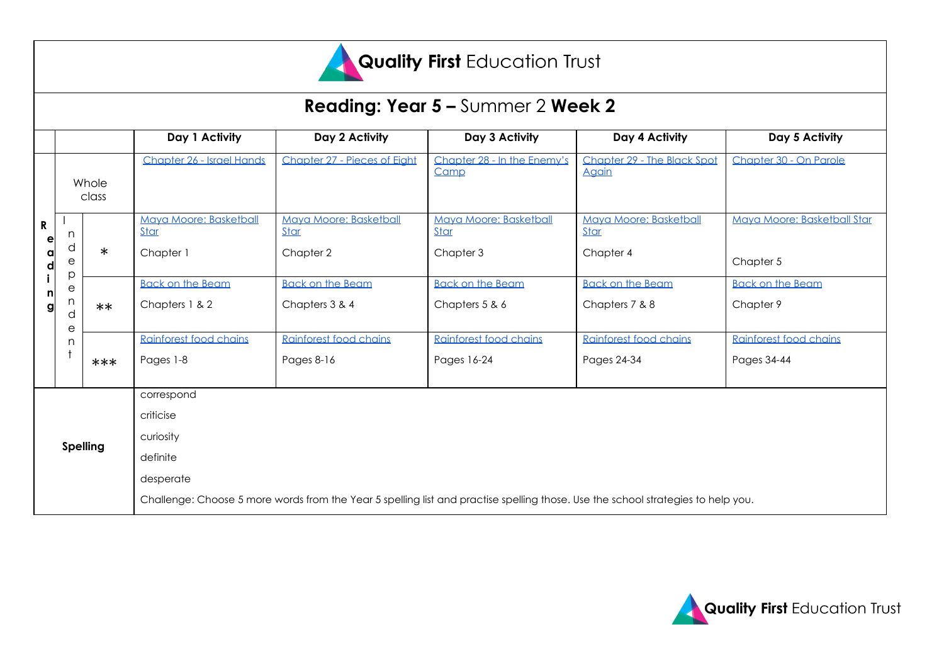

# Quality First Education Trust

|                            |                            |        |                                                                                                                                  |                                       | <b>Reading: Year 5 - Summer 2 Week 2</b> |                                      |                             |  |
|----------------------------|----------------------------|--------|----------------------------------------------------------------------------------------------------------------------------------|---------------------------------------|------------------------------------------|--------------------------------------|-----------------------------|--|
|                            |                            |        | Day 1 Activity                                                                                                                   | Day 2 Activity                        | Day 3 Activity                           | Day 4 Activity                       | Day 5 Activity              |  |
|                            |                            |        | Chapter 26 - Israel Hands                                                                                                        | Chapter 27 - Pieces of Eight          | Chapter 28 - In the Enemy's<br>Camp      | Chapter 29 - The Black Spot<br>Aaain | Chapter 30 - On Parole      |  |
| R<br>e<br>a<br>d<br>n<br>g | Whole<br>class             |        |                                                                                                                                  |                                       |                                          |                                      |                             |  |
|                            | n                          |        | Maya Moore: Basketball<br>Star                                                                                                   | Maya Moore: Basketball<br><b>Star</b> | Mava Moore: Basketball<br>Star           | Mava Moore: Basketball<br>Star       | Maya Moore: Basketball Star |  |
|                            | d<br>е<br>p<br>е<br>n<br>d | $\ast$ | Chapter 1                                                                                                                        | Chapter 2                             | Chapter 3                                | Chapter 4                            | Chapter 5                   |  |
|                            |                            |        | <b>Back on the Beam</b>                                                                                                          | <b>Back on the Beam</b>               | <b>Back on the Beam</b>                  | <b>Back on the Beam</b>              | <b>Back on the Beam</b>     |  |
|                            |                            | $**$   | Chapters 1 & 2                                                                                                                   | Chapters 3 & 4                        | Chapters 5 & 6                           | Chapters 7 & 8                       | Chapter 9                   |  |
|                            | е<br>n.                    |        | Rainforest food chains                                                                                                           | Rainforest food chains                | Rainforest food chains                   | Rainforest food chains               | Rainforest food chains      |  |
|                            |                            | ***    | Pages 1-8                                                                                                                        | Pages 8-16                            | Pages 16-24                              | Pages 24-34                          | Pages 34-44                 |  |
|                            |                            |        | correspond                                                                                                                       |                                       |                                          |                                      |                             |  |
| <b>Spelling</b>            |                            |        | criticise                                                                                                                        |                                       |                                          |                                      |                             |  |
|                            |                            |        | curiosity                                                                                                                        |                                       |                                          |                                      |                             |  |
|                            |                            |        | definite                                                                                                                         |                                       |                                          |                                      |                             |  |
|                            |                            |        | desperate                                                                                                                        |                                       |                                          |                                      |                             |  |
|                            |                            |        | Challenge: Choose 5 more words from the Year 5 spelling list and practise spelling those. Use the school strategies to help you. |                                       |                                          |                                      |                             |  |

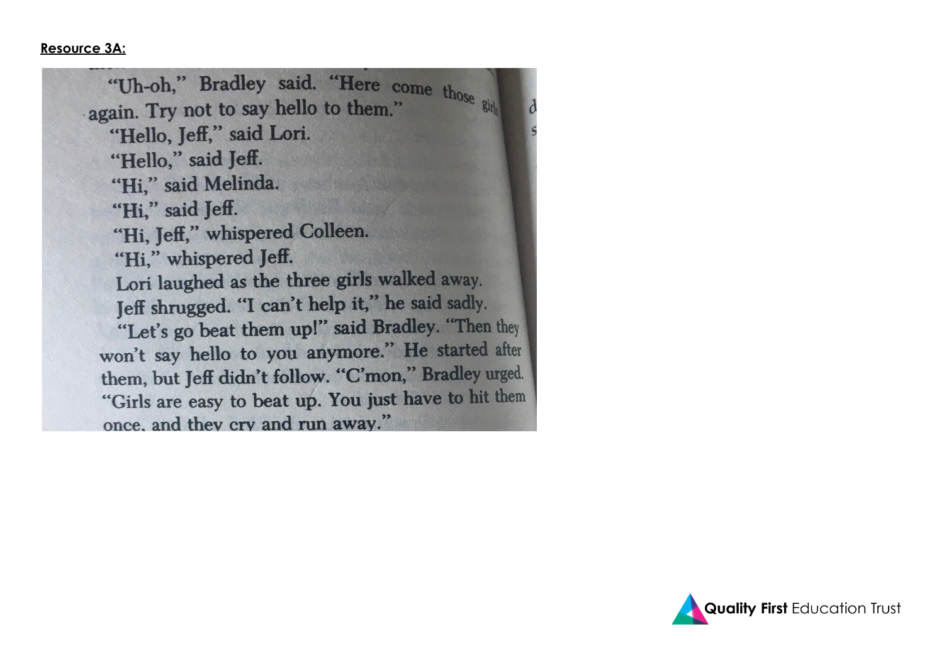#### **Resource 3A:**

"Uh-oh," Bradley said. "Here come those single-<br>rain Try not to say hello to them." again. Try not to say hello to them." "Hello, Jeff," said Lori. "Hello," said Jeff. "Hi," said Melinda. "Hi," said Jeff. "Hi, Jeff," whispered Colleen. "Hi," whispered Jeff. Lori laughed as the three girls walked away. Jeff shrugged. "I can't help it," he said sadly. "Let's go beat them up!" said Bradley. "Then they won't say hello to you anymore." He started after them, but Jeff didn't follow. "C'mon," Bradley urged. "Girls are easy to beat up. You just have to hit them once, and they cry and run away."

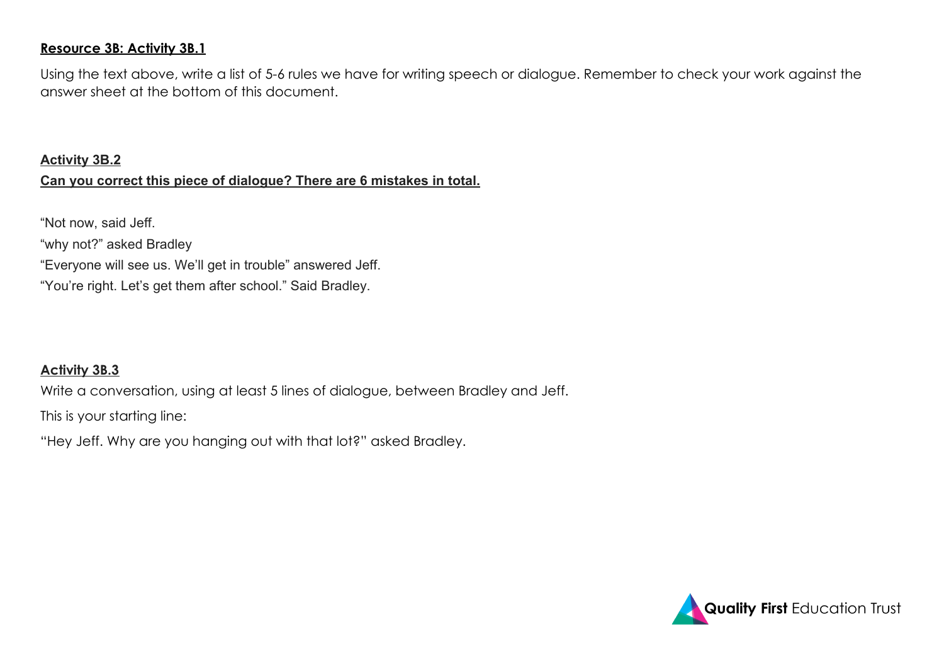#### **Resource 3B: Activity 3B.1**

Using the text above, write a list of 5-6 rules we have for writing speech or dialogue. Remember to check your work against the answer sheet at the bottom of this document.

#### **Activity 3B.2**

#### **Can you correct this piece of dialogue? There are 6 mistakes in total.**

"Not now, said Jeff. "why not?" asked Bradley "Everyone will see us. We'll get in trouble" answered Jeff. "You're right. Let's get them after school." Said Bradley.

# **Activity 3B.3**

Write a conversation, using at least 5 lines of dialogue, between Bradley and Jeff.

This is your starting line:

"Hey Jeff. Why are you hanging out with that lot?" asked Bradley.

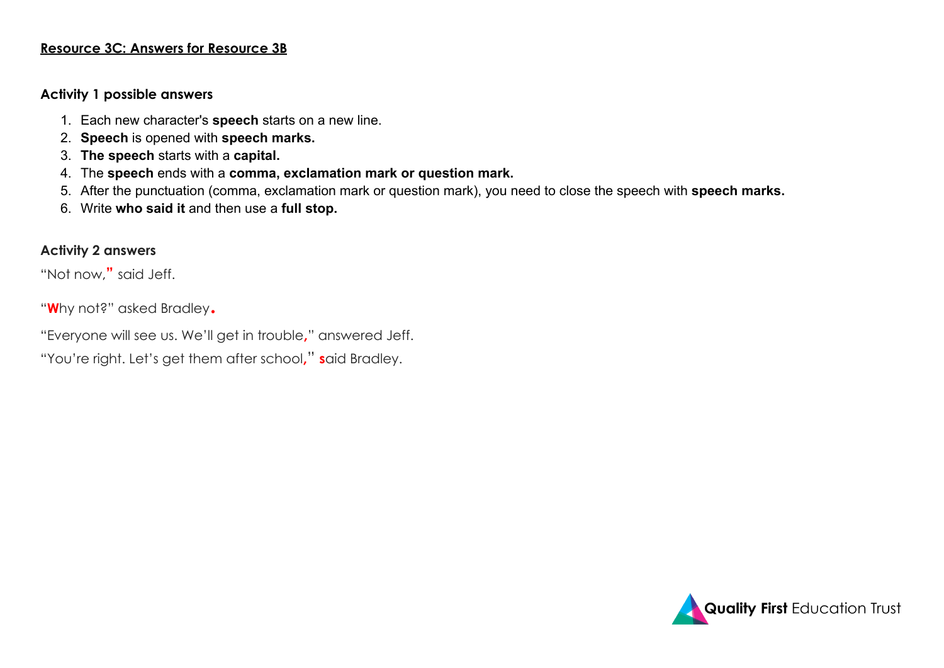#### **Resource 3C: Answers for Resource 3B**

#### **Activity 1 possible answers**

- 1. Each new character's **speech** starts on a new line.
- 2. **Speech** is opened with **speech marks.**
- 3. **The speech** starts with a **capital.**
- 4. The **speech** ends with a **comma, exclamation mark or question mark.**
- 5. After the punctuation (comma, exclamation mark or question mark), you need to close the speech with **speech marks.**
- 6. Write **who said it** and then use a **full stop.**

#### **Activity 2 answers**

"Not now,**"** said Jeff.

"**W**hy not?" asked Bradley.

"Everyone will see us. We'll get in trouble**,**" answered Jeff.

"You're right. Let's get them after school**,**" **s**aid Bradley.

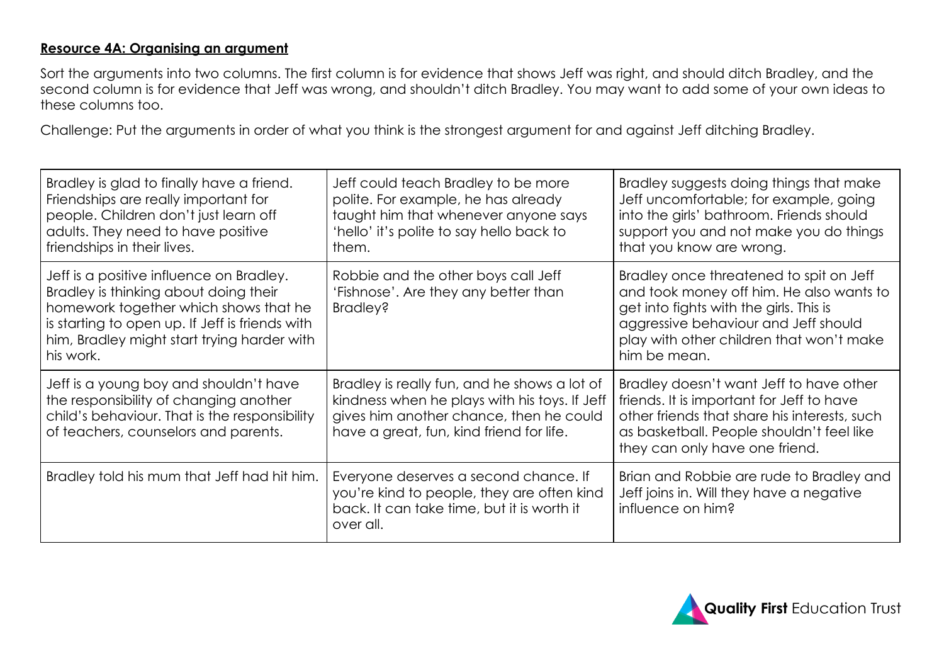#### **Resource 4A: Organising an argument**

Sort the arguments into two columns. The first column is for evidence that shows Jeff was right, and should ditch Bradley, and the second column is for evidence that Jeff was wrong, and shouldn't ditch Bradley. You may want to add some of your own ideas to these columns too.

Challenge: Put the arguments in order of what you think is the strongest argument for and against Jeff ditching Bradley.

| Bradley is glad to finally have a friend.<br>Friendships are really important for<br>people. Children don't just learn off<br>adults. They need to have positive<br>friendships in their lives.                                           | Jeff could teach Bradley to be more<br>polite. For example, he has already<br>taught him that whenever anyone says<br>'hello' it's polite to say hello back to<br>them.              | Bradley suggests doing things that make<br>Jeff uncomfortable; for example, going<br>into the girls' bathroom. Friends should<br>support you and not make you do things<br>that you know are wrong.                                |
|-------------------------------------------------------------------------------------------------------------------------------------------------------------------------------------------------------------------------------------------|--------------------------------------------------------------------------------------------------------------------------------------------------------------------------------------|------------------------------------------------------------------------------------------------------------------------------------------------------------------------------------------------------------------------------------|
| Jeff is a positive influence on Bradley.<br>Bradley is thinking about doing their<br>homework together which shows that he<br>is starting to open up. If Jeff is friends with<br>him, Bradley might start trying harder with<br>his work. | Robbie and the other boys call Jeff<br>'Fishnose'. Are they any better than<br>Bradley?                                                                                              | Bradley once threatened to spit on Jeff<br>and took money off him. He also wants to<br>get into fights with the girls. This is<br>aggressive behaviour and Jeff should<br>play with other children that won't make<br>him be mean. |
| Jeff is a young boy and shouldn't have<br>the responsibility of changing another<br>child's behaviour. That is the responsibility<br>of teachers, counselors and parents.                                                                 | Bradley is really fun, and he shows a lot of<br>kindness when he plays with his toys. If Jeff<br>gives him another chance, then he could<br>have a great, fun, kind friend for life. | Bradley doesn't want Jeff to have other<br>friends. It is important for Jeff to have<br>other friends that share his interests, such<br>as basketball. People shouldn't feel like<br>they can only have one friend.                |
| Bradley told his mum that Jeff had hit him.                                                                                                                                                                                               | Everyone deserves a second chance. If<br>you're kind to people, they are often kind<br>back. It can take time, but it is worth it<br>over all.                                       | Brian and Robbie are rude to Bradley and<br>Jeff joins in. Will they have a negative<br>influence on him?                                                                                                                          |

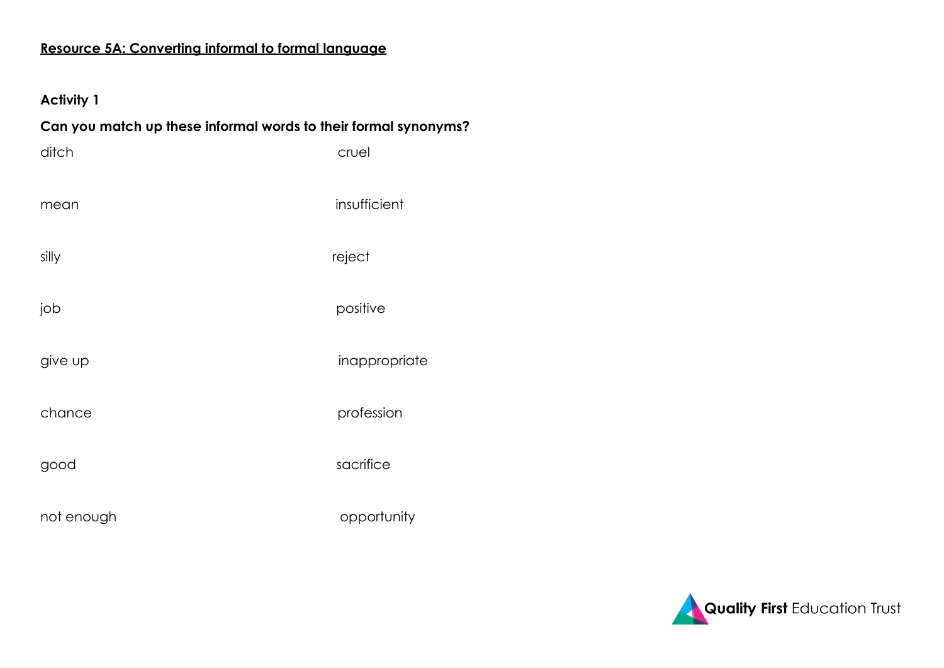# **Resource 5A: Converting informal to formal language**

# **Activity 1**

| Can you match up these informal words to their formal synonyms? |               |  |  |
|-----------------------------------------------------------------|---------------|--|--|
| ditch                                                           | cruel         |  |  |
| mean                                                            | insufficient  |  |  |
| silly                                                           | reject        |  |  |
| job                                                             | positive      |  |  |
| give up                                                         | inappropriate |  |  |
| chance                                                          | profession    |  |  |
| good                                                            | sacrifice     |  |  |
| not enough                                                      | opportunity   |  |  |

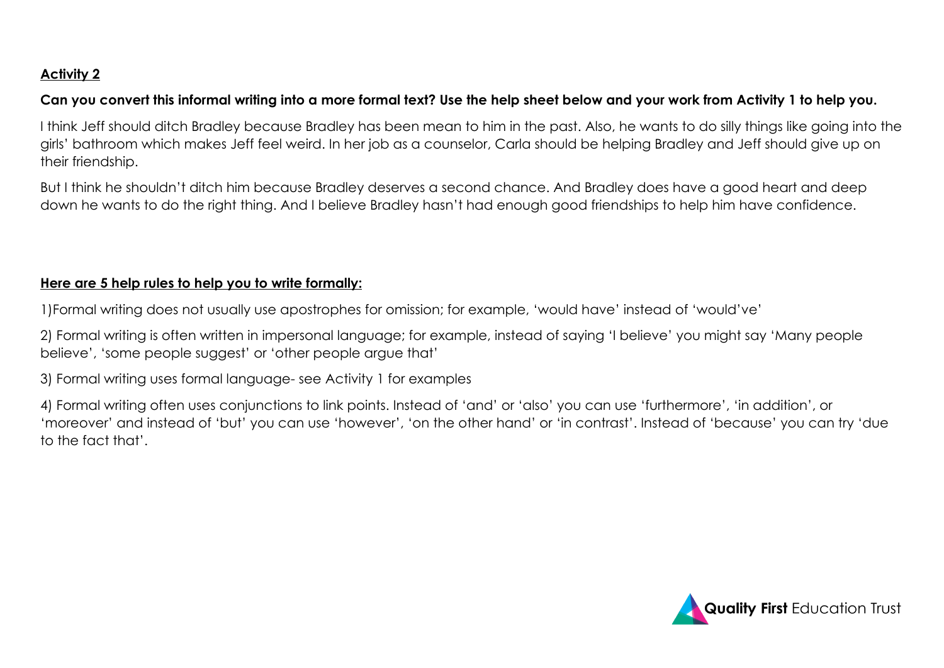# **Activity 2**

# **Can you convert this informal writing into a more formal text? Use the help sheet below and your work from Activity 1 to help you.**

I think Jeff should ditch Bradley because Bradley has been mean to him in the past. Also, he wants to do silly things like going into the girls' bathroom which makes Jeff feel weird. In her job as a counselor, Carla should be helping Bradley and Jeff should give up on their friendship.

But I think he shouldn't ditch him because Bradley deserves a second chance. And Bradley does have a good heart and deep down he wants to do the right thing. And I believe Bradley hasn't had enough good friendships to help him have confidence.

# **Here are 5 help rules to help you to write formally:**

1)Formal writing does not usually use apostrophes for omission; for example, 'would have' instead of 'would've'

2) Formal writing is often written in impersonal language; for example, instead of saying 'I believe' you might say 'Many people believe', 'some people suggest' or 'other people argue that'

3) Formal writing uses formal language- see Activity 1 for examples

4) Formal writing often uses conjunctions to link points. Instead of 'and' or 'also' you can use 'furthermore', 'in addition', or 'moreover' and instead of 'but' you can use 'however', 'on the other hand' or 'in contrast'. Instead of 'because' you can try 'due to the fact that'.